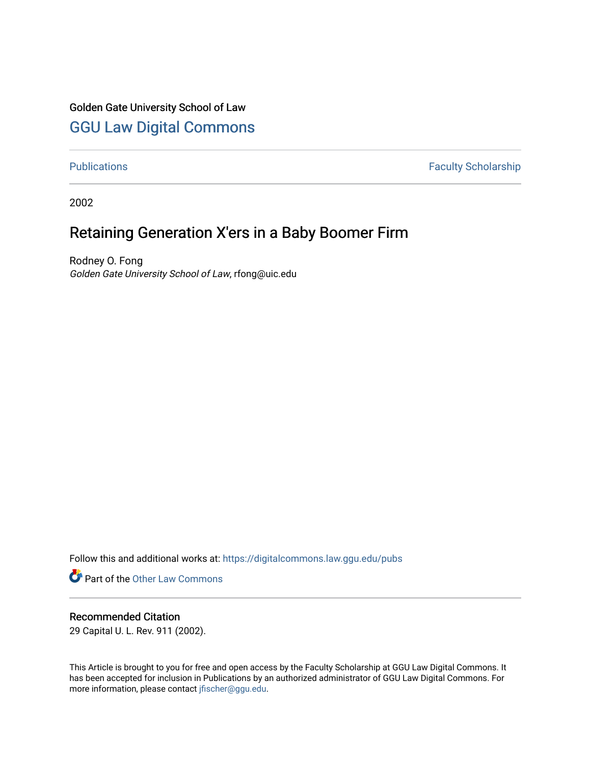## Golden Gate University School of Law

## [GGU Law Digital Commons](https://digitalcommons.law.ggu.edu/)

[Publications](https://digitalcommons.law.ggu.edu/pubs) **Faculty Scholarship** 

2002

# Retaining Generation X'ers in a Baby Boomer Firm

Rodney O. Fong Golden Gate University School of Law, rfong@uic.edu

Follow this and additional works at: [https://digitalcommons.law.ggu.edu/pubs](https://digitalcommons.law.ggu.edu/pubs?utm_source=digitalcommons.law.ggu.edu%2Fpubs%2F5&utm_medium=PDF&utm_campaign=PDFCoverPages)

**Part of the Other Law Commons** 

### Recommended Citation

29 Capital U. L. Rev. 911 (2002).

This Article is brought to you for free and open access by the Faculty Scholarship at GGU Law Digital Commons. It has been accepted for inclusion in Publications by an authorized administrator of GGU Law Digital Commons. For more information, please contact [jfischer@ggu.edu](mailto:jfischer@ggu.edu).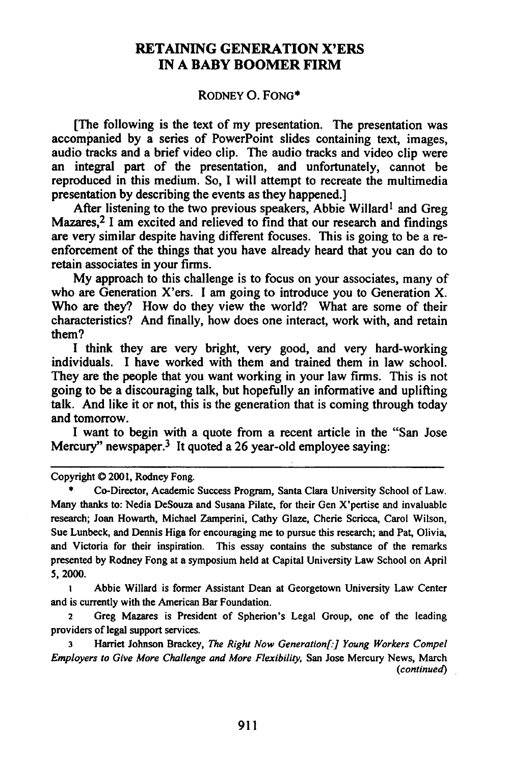#### RETAINING GENERATION X'ERS IN A BABY BOOMER FIRM

#### RODNEY O. FONG·

[The following is the text of my presentation. The presentation was accompanied by a series of PowerPoint slides containing text, images, audio tracks and a brief video clip. The audio tracks and video clip were an integral part of the presentation, and unfortunately, cannot be reproduced in this medium. So, I will attempt to recreate the multimedia presentation by describing the events as they happened.]

After listening to the two previous speakers, Abbie Willard<sup>1</sup> and Greg Mazares,<sup>2</sup> I am excited and relieved to find that our research and findings are very similar despite having different focuses. This is going to be a reenforcement of the things that you have already heard that you can do to retain associates in your firms.

My approach to this challenge is to focus on your associates, many of who are Generation X'ers. I am going to introduce you to Generation X. Who are they? How do they view the world? What are some of their characteristics? And finally, how does one interact, work with, and retain them?

I think they are very bright, very good, and very hard-working individuals. I have worked with them and trained them in law school. They are the people that you want working in your law firms. This is not going to be a discouraging talk, but hopefully an informative and uplifting talk. And like it or not, this is the generation that is coming through today and tomorrow.

I want to begin with a quote from a recent article in the "San Jose Mercury" newspaper.<sup>3</sup> It quoted a 26 year-old employee saying:

Copyright © 2001, Rodney Fong.

• Co-Director, Academic Success Program, Santa Clara University School of Law. Many thanks to: Nedia DeSouza and Susana Pilate, for their Gen X'pcrtise and invaluable research; Joan Howarth, Michael Zamperini, Cathy Glaze, Cherie Scricca, Carol Wilson, Sue Lunbeck, and Dennis Higa for encouraging me to pursue this research; and Pat, Olivia, and Victoria for their inspiration. This essay contains the substance of the remarks presented by Rodney Fong at a symposium held at Capital University Law School on April 5,2000.

1 Abbie Willard is former Assistant Dean at Georgetown University Law Center and is currently with the American Bar Foundation.

<sup>2</sup> Greg Mazares is President of Spherion's Legal Group, one of the leading providers of legal support services.

3 Harriet Johnson Brackey, *The Right Now Generation[:] Young Workers Compel Employers to Give More Challenge and More Flexibility,* San Jose Mercury News, March *(continued)*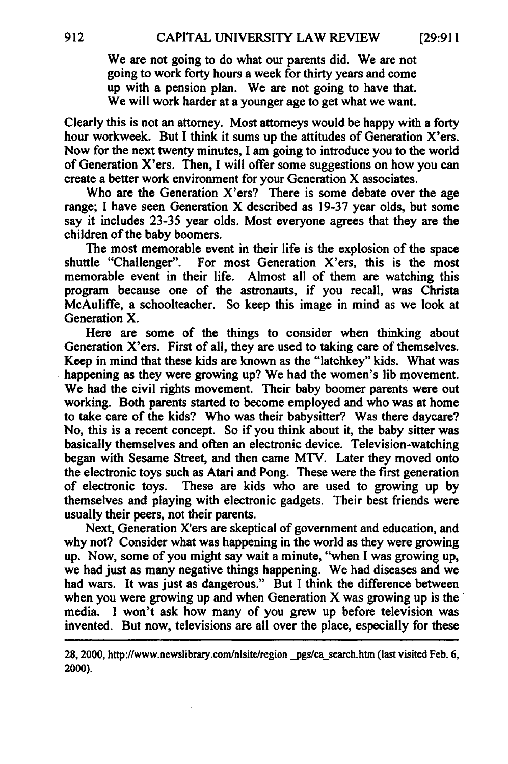We are not going to do what our parents did. We are not going to work forty hours a week for thirty years and come up with a pension plan. We are not going to have that. We will work harder at a younger age to get what we want.

Clearly this is not an attorney. Most attorneys would be happy with a forty hour workweek. But I think it sums up the attitudes of Generation X'ers. Now for the next twenty minutes, I am going to introduce you to the world of Generation X'ers. Then, I will offer some suggestions on how you can create a better work environment for your Generation X associates.

Who are the Generation X'ers? There is some debate over the age range; I have seen Generation X described as 19-37 year olds, but some say it includes 23-35 year olds. Most everyone agrees that they are the children of the baby boomers.

The most memorable event in their life is the explosion of the space shuttle "Challenger". For most Generation X'ers, this is the most memorable event in their life. Almost all of them are watching this program because one of the astronauts, if you recall, was Christa McAuliffe, a schoolteacher. So keep this image in mind as we look at Generation X.

Here are some of the things to consider when thinking about Generation X'ers. First of all, they are used to taking care of themselves. Keep in mind that these kids are known as the "latchkey" kids. What was happening as they were growing up? We had the women's lib movement. We had the civil rights movement. Their baby boomer parents were out working. Both parents started to become employed and who was at home to take care of the kids? Who was their babysitter? Was there daycare? No, this is a recent concept. So if you think about it, the baby sitter was basically themselves and often an electronic device. Television-watching began with Sesame Street, and then came MTV. Later they moved onto the electronic toys such as Atari and Pong. These were the first generation of electronic toys. These are kids who are used to growing up by themselves and playing with electronic gadgets. Their best friends were usually their peers, not their parents.

Next, Generation X'ers are skeptical of government and education, and why not? Consider what was happening in the world as they were growing up. Now, some of you might say wait a minute, "when I was growing up, we had just as many negative things happening. We had diseases and we had wars. It was just as dangerous." But I think the difference between when you were growing up and when Generation  $X$  was growing up is the media. I won't ask how many of you grew up before television was invented. But now, televisions are all over the place, especially for these

28, 2000, http://www.newslibrary.com/nlsite/region pgs/ca\_search.htm (last visited Feb. 6, 2000).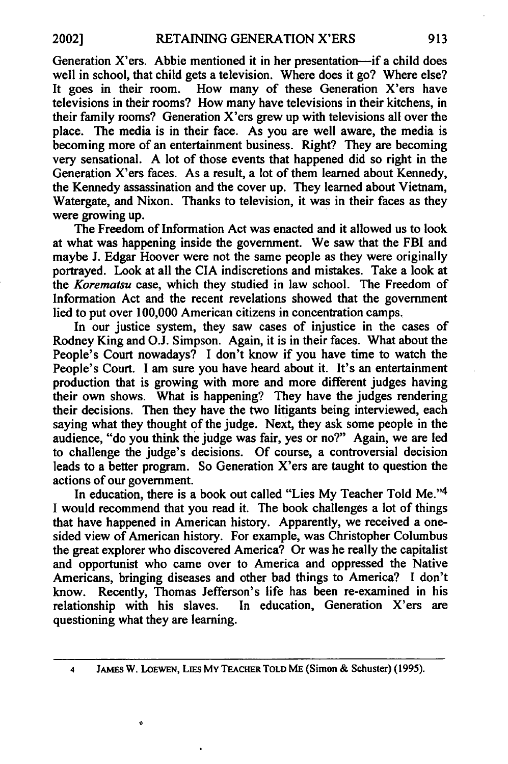Generation X'ers. Abbie mentioned it in her presentation-if a child does well in school, that child gets a television. Where does it go? Where else? It goes in their room. How many of these Generation X'ers have televisions in their rooms? How many have televisions in their kitchens, in their family rooms? Generation X'ers grew up with televisions allover the place. The media is in their face. As you are well aware, the media is becoming more of an entertainment business. Right? They are becoming very sensational. A lot of those events that happened did so right in the Generation X'ers faces. As a result, a lot of them learned about Kennedy, the Kennedy assassination and the cover up. They learned about Vietnam, Watergate, and Nixon. Thanks to television, it was in their faces as they were growing up.

The Freedom of Information Act was enacted and it allowed us to look at what was happening inside the government. We saw that the FBI and maybe J. Edgar Hoover were not the same people as they were originally portrayed. Look at all the CIA indiscretions and mistakes. Take a look at the *Korematsu* case, which they studied in law school. The Freedom of Information Act and the recent revelations showed that the government lied to put over 100,000 American citizens in concentration camps.

In our justice system, they saw cases of injustice in the cases of Rodney King and O.J. Simpson. Again, it is in their faces. What about the People's Court nowadays? I don't know if you have time to watch the People's Court. I am sure you have heard about it. It's an entertainment production that is growing with more and more different judges having their own shows. What is happening? They have the judges rendering their decisions. Then they have the two litigants being interviewed, each saying what they thought of the judge. Next, they ask some people in the audience, "do you think the judge was fair, yes or no?" Again, we are led to challenge the judge's decisions. Of course, a controversial decision leads to a better program. So Generation X'ers are taught to question the actions of our government.

In education, there is a book out called "Lies My Teacher Told Me."4 I would recommend that you read it. The book challenges a lot of things that have happened in American history. Apparently, we received a onesided view of American history. For example, was Christopher Columbus the great explorer who discovered America? Or was he really the capitalist and opportunist who came over to America and oppressed the Native Americans, bringing diseases and other bad things to America? I don't know. Recently, Thomas Jefferson's life has been re-examined in his relationship with his slaves. In education, Generation X'ers are questioning what they are learning.

4 JAMES W. LoEWEN, LIES My TEACHER TOLD ME (Simon & Schuster) (1995).

o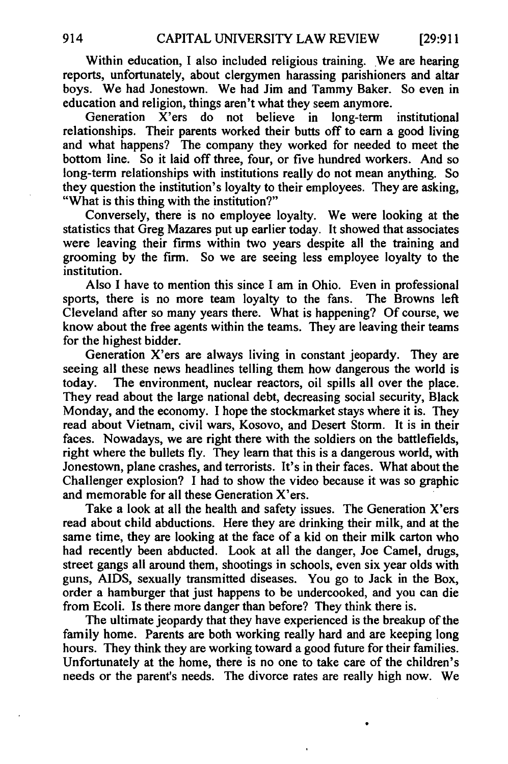Within education, I also included religious training. We are hearing reports, unfortunately, about clergymen harassing parishioners and altar boys. We had Jonestown. We had Jim and Tammy Baker. So even in education and religion, things aren't what they seem anymore.

Generation X'ers do not believe in long-term institutional relationships. Their parents worked their butts off to earn a good living and what happens? The company they worked for needed to meet the bottom line. So it laid off three, four, or five hundred workers. And so long-term relationships with institutions really do not mean anything. So they question the institution's loyalty to their employees. They are asking, "What is this thing with the institution?"

Conversely, there is no employee loyalty. We were looking at the statistics that Greg Mazares put up earlier today. It showed that associates were leaving their firms within two years despite all the training and grooming by the firm. So we are seeing less employee loyalty to the institution.

Also I have to mention this since I am in Ohio. Even in professional sports, there is no more team loyalty to the fans. The Browns left Cleveland after so many years there. What is happening? Of course, we know about the free agents within the teams. They are leaving their teams for the highest bidder.

Generation X'ers are always living in constant jeopardy. They are seeing all these news headlines telling them how dangerous the world is today. The environment, nuclear reactors, oil spills all over the place. They read about the large national debt, decreasing social security, Black Monday, and the economy. I hope the stockmarket stays where it is. They read about Vietnam, civil wars, Kosovo, and Desert Storm. It is in their faces. Nowadays, we are right there with the soldiers on the battlefields, right where the bullets fly. They learn that this is a dangerous world, with Jonestown, plane crashes, and terrorists. It's in their faces. What about the Challenger explosion? I had to show the video because it was so graphic and memorable for all these Generation X'ers.

Take a look at all the health and safety issues. The Generation X'ers read about child abductions. Here they are drinking their milk, and at the same time, they are looking at the face of a kid on their milk carton who had recently been abducted. Look at all the danger, Joe Camel, drugs, street gangs all around them, shootings in schools, even six year olds with guns, AIDS, sexually transmitted diseases. You go to Jack in the Box, order a hamburger that just happens to be undercooked, and you can die from Ecoli. Is there more danger than before? They think there is.

The ultimate jeopardy that they have experienced is the breakup of the family home. Parents are both working really hard and are keeping long hours. They think they are working toward a good future for their families. Unfortunately at the home, there is no one to take care of the children's needs or the parent's needs. The divorce rates are really high now. We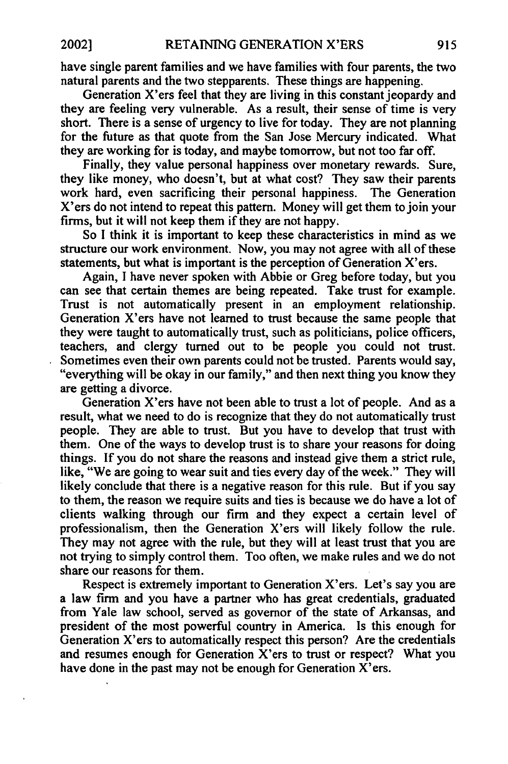have single parent families and we have families with four parents, the two natural parents and the two stepparents. These things are happening.

Generation X'ers feel that they are living in this constant jeopardy and they are feeling very vulnerable. As a result, their sense of time is very short. There is a sense of urgency to live for today. They are not planning for the future as that quote from the San Jose Mercury indicated. What they are working for is today, and maybe tomorrow, but not too far off.

Finally, they value personal happiness over monetary rewards. Sure, they like money, who doesn't, but at what cost? They saw their parents work hard, even sacrificing their personal happiness. The Generation X'ers do not intend to repeat this pattern. Money will get them to join your firms, but it will not keep them if they are not happy.

So I think it is important to keep these characteristics in mind as we structure our work environment. Now, you may not agree with all of these statements, but what is important is the perception of Generation  $X'$ ers.

Again, I have never spoken with Abbie or Greg before today, but you can see that certain themes are being repeated. Take trust for example. Trust is not automatically present in an employment relationship. Generation X'ers have not learned to trust because the same people that they were taught to automatically trust, such as politicians, police officers, teachers, and clergy turned out to be people you could not trust. Sometimes even their own parents could not be trusted. Parents would say, "everything will be okay in our family," and then next thing you know they are getting a divorce.

Generation X'ers have not been able to trust a lot of people. And as a result, what we need to do is recognize that they do not automatically trust people. They are able to trust. But you have to develop that trust with them. One of the ways to develop trust is to share your reasons for doing things. If you do not share the reasons and instead give them a strict rule, like, "We are going to wear suit and ties every day of the week." They will likely conclude that there is a negative reason for this rule. But if you say to them, the reason we require suits and ties is because we do have a lot of clients walking through our firm and they expect a certain level of professionalism, then the Generation X'ers will likely follow the rule. They may not agree with the rule, but they will at least trust that you are not trying to simply control them. Too often, we make rules and we do not share our reasons for them.

Respect is extremely important to Generation X'ers. Let's say you are a law firm and you have a partner who has great credentials, graduated from Yale law school, served as governor of the state of Arkansas, and president of the most powerful country in America. Is this enough for Generation X'ers to automatically respect this person? Are the credentials and resumes enough for Generation X'ers to trust or respect? What you have done in the past may not be enough for Generation X'ers.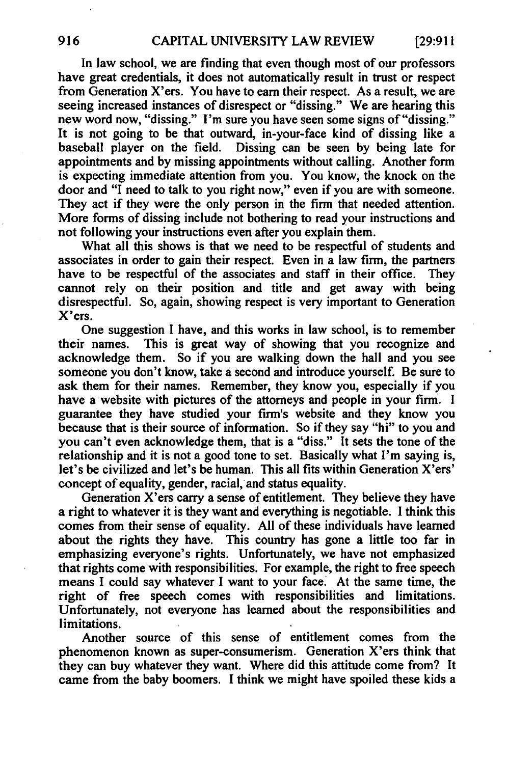In law school, we are finding that even though most of our professors have great credentials, it does not automatically result in trust or respect from Generation X'ers. You have to earn their respect. As a result, we are seeing increased instances of disrespect or "dissing." We are hearing this new word now, "dissing." I'm sure you have seen some signs of "dissing." It is not going to be that outward, in-your-face kind of dissing like a baseball player on the field. Dissing can be seen by being late for appointments and by missing appointments without calling. Another form is expecting immediate attention from you. You know, the knock on the door and "I need to talk to you right now," even if you are with someone. They act if they were the only person in the firm that needed attention. More forms of dissing include not bothering to read your instructions and not following your instructions even after you explain them.

What all this shows is that we need to be respectful of students and associates in order to gain their respect. Even in a law firm, the partners have to be respectful of the associates and staff in their office. They cannot rely on their position and title and get away with being disrespectful. So, again, showing respect is very important to Generation X'ers.

One suggestion I have, and this works in law school, is to remember their names. This is great way of showing that you recognize and acknowledge them. So if you are walking down the hall and you see someone you don't know, take a second and introduce yourself. Be sure to ask them for their names. Remember, they know you, especially if you have a website with pictures of the attorneys and people in your firm. I guarantee they have studied your firm's website and they know you because that is their source of information. So if they say "hi" to you and you can't even acknowledge them, that is a "diss." It sets the tone of the relationship and it is not a good tone to set. Basically what I'm saying is, let's be civilized and let's be human. This all fits within Generation X'ers' concept of equality, gender, racial, and status equality.

Generation X'ers carry a sense of entitlement. They believe they have a right to whatever it is they want and everything is negotiable. I think this comes from their sense of equality. All of these individuals have learned about the rights they have. This country has gone a little too far in emphasizing everyone's rights. Unfortunately, we have not emphasized that rights come with responsibilities. For example, the right to free speech means I could say whatever I want to your face. At the same time, the right of free speech comes with responsibilities and limitations. Unfortunately, not everyone has learned about the responsibilities and limitations.

Another source of this sense of entitlement comes from the phenomenon known as super-consumerism. Generation X'ers think that they can buy whatever they want. Where did this attitude come from? It came from the baby boomers. I think we might have spoiled these kids a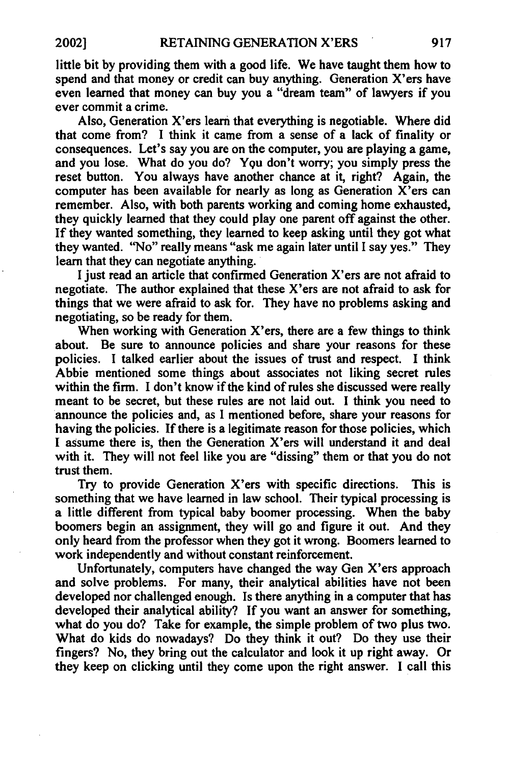little bit by providing them with a good life. We have taught them how to spend and that money or credit can buy anything. Generation X'ers have even learned that money can buy you a "dream team" of lawyers if you ever commit a crime.

Also, Generation X'ers learn that everything is negotiable. Where did that come from? I think it came from a sense of a lack of finality or consequences. Let's say you are on the computer, you are playing a game, and you lose. What do you do? You don't worry; you simply press the reset button. You always have another chance at it, right? Again, the computer has been available for nearly as long as Generation X'ers can remember. Also, with both parents working and coming home exhausted, they quickly learned that they could play one parent off against the other. If they wanted something, they learned to keep asking until they got what they wanted. ''No'' really means "ask me again later until I say yes." They learn that they can negotiate anything.

I just read an article that confirmed Generation X'ers are not afraid to negotiate. The author explained that these X'ers are not afraid to ask for things that we were afraid to ask for. They have no problems asking and negotiating, so be ready for them.

When working with Generation X'ers, there are a few things to think about. Be sure to announce policies and share your reasons for these policies. I talked earlier about the issues of trust and respect. I think Abbie mentioned some things about associates not liking secret rules within the firm. I don't know if the kind of rules she discussed were really meant to be secret, but these rules are not laid out. I think you need to announce the policies and, as I mentioned before, share your reasons for having the policies. If there is a legitimate reason for those policies, which I assume there is, then the Generation X'ers will understand it and deal with it. They will not feel like you are "dissing" them or that you do not trust them.

Try to provide Generation X'ers with specific directions. This is something that we have learned in law school. Their typical processing is a little different from typical baby boomer processing. When the baby boomers begin an assignment, they will go and figure it out. And they only heard from the professor when they got it wrong. Boomers learned to work independently and without constant reinforcement.

Unfortunately, computers have changed the way Gen X'ers approach and solve problems. For many, their analytical abilities have not been developed nor challenged enough. Is there anything in a computer that has developed their analytical ability? If you want an answer for something, what do you do? Take for example, the simple problem of two plus two. What do kids do nowadays? Do they think it out? Do they use their fingers? No, they bring out the calculator and look it up right away. Or they keep on clicking until they come upon the right answer. I call this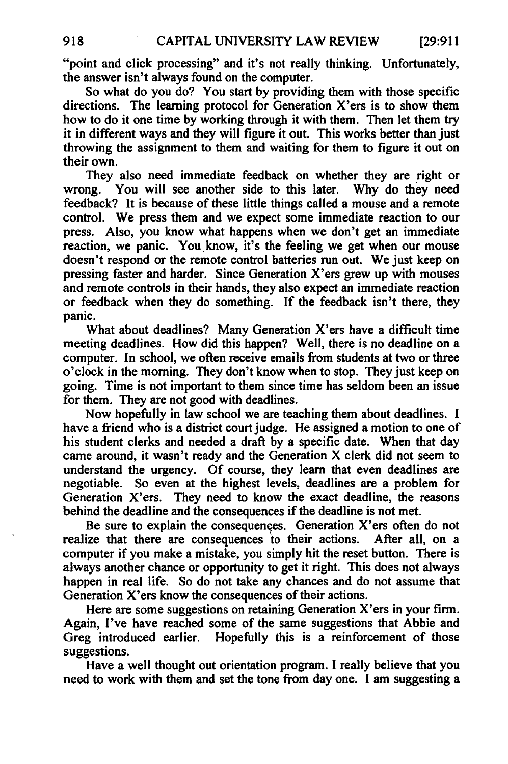"point and click processing" and it's not really thinking. Unfortunately, the answer isn't always found on the computer.

So what do you do? You start by providing them with those specific directions. The learning protocol for Generation X'ers is to show them how to do it one time by working through it with them. Then let them try it in different ways and they will figure it out. This works better than just throwing the assignment to them and waiting for them to figure it out on their own.

They also need immediate feedback on whether they are right or wrong. You will see another side to this later. Why do they need feedback? It is because of these little things called a mouse and a remote control. We press them and we expect some immediate reaction to our press. Also, you know what happens when we don't get an immediate reaction, we panic. You know, it's the feeling we get when our mouse doesn't respond or the remote control batteries run out. We just keep on pressing faster and harder. Since Generation X'ers grew up with mouses and remote controls in their hands, they also expect an immediate reaction or feedback when they do something. If the feedback isn't there, they panic.

What about deadlines? Many Generation X'ers have a difficult time meeting deadlines. How did this happen? Well, there is no deadline on a computer. In school, we often receive emails from students at two or three o'clock in the morning. They don't know when to stop. They just keep on going. Time is not important to them since time has seldom been an issue for them. They are not good with deadlines.

Now hopefully in law school we are teaching them about deadlines. I have a friend who is a district court judge. He assigned a motion to one of his student clerks and needed a draft by a specific date. When that day came around, it wasn't ready and the Generation X clerk did not seem to understand the urgency. Of course, they learn that even deadlines are negotiable. So even at the highest levels, deadlines are a problem for So even at the highest levels, deadlines are a problem for Generation X'ers. They need to know the exact deadline, the reasons behind the deadline and the consequences if the deadline is not met.

Be sure to explain the consequences. Generation X'ers often do not realize that there are consequences to their actions. After all, on a computer if you make a mistake, you simply hit the reset button. There is always another chance or opportunity to get it right. This does not always happen in real life. So do not take any chances and do not assume that Generation  $X'$ ers know the consequences of their actions.

Here are some suggestions on retaining Generation X'ers in your firm. Again, I've have reached some of the same suggestions that Abbie and Greg introduced earlier. Hopefully this is a reinforcement of those suggestions.

Have a well thought out orientation program. I really believe that you need to work with them and set the tone from day one. I am suggesting a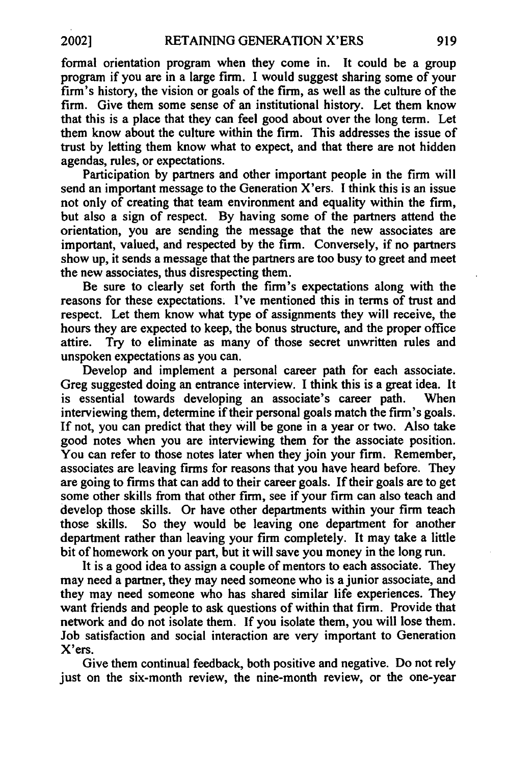formal orientation program when they come in. It could be a group program if you are in a large firm. I would suggest sharing some of your firm's history, the vision or goals of the firm, as well as the culture of the firm. Give them some sense of an institutional history. Let them know that this is a place that they can feel good about over the long term. Let them know about the culture within the firm. This addresses the issue of trust by letting them know what to expect, and that there are not hidden agendas, rules, or expectations.

Participation by partners and other important people in the firm will send an important message to the Generation  $X'$ ers. I think this is an issue not only of creating that team environment and equality within the firm, but also a sign of respect. By having some of the partners attend the orientation, you are sending the message that the new associates are important, valued, and respected by the firm. Conversely, if no partners show up, it sends a message that the partners are too busy to greet and meet the new associates, thus disrespecting them.

Be sure to clearly set forth the firm's expectations along with the reasons for these expectations. I've mentioned this in terms of trust and respect. Let them know what type of assignments they will receive, the hours they are expected to keep, the bonus structure, and the proper office attire. Try to eliminate as many of those secret unwritten rules and unspoken expectations as you can.

Develop and implement a personal career path for each associate. Greg suggested doing an entrance interview. I think this is a great idea. It is essential towards developing an associate's career path. When interviewing them, determine if their personal goals match the firm's goals. If not, you can predict that they will be gone in <sup>a</sup> year or two. Also take good notes when you are interviewing them for the associate position. You can refer to those notes later when they join your firm. Remember, associates are leaving firms for reasons that you have heard before. They are going to firms that can add to their career goals. If their goals are to get some other skills from that other firm, see if your firm can also teach and develop those skills. Or have other departments within your firm teach those skills. So they would be leaving one department for another department rather than leaving your firm completely. It may take a little bit of homework on your part, but it will save you money in the long run.

It is a good idea to assign a couple of mentors to each associate. They may need a partner, they may need someone who is a junior associate, and they may need someone who has shared similar life experiences. They want friends and people to ask questions of within that firm. Provide that network and do not isolate them. If you isolate them, you will lose them. Job satisfaction and social interaction are very important to Generation X'ers.

Give them continual feedback, both positive and negative. Do not rely just on the six-month review, the nine-month review, or the one-year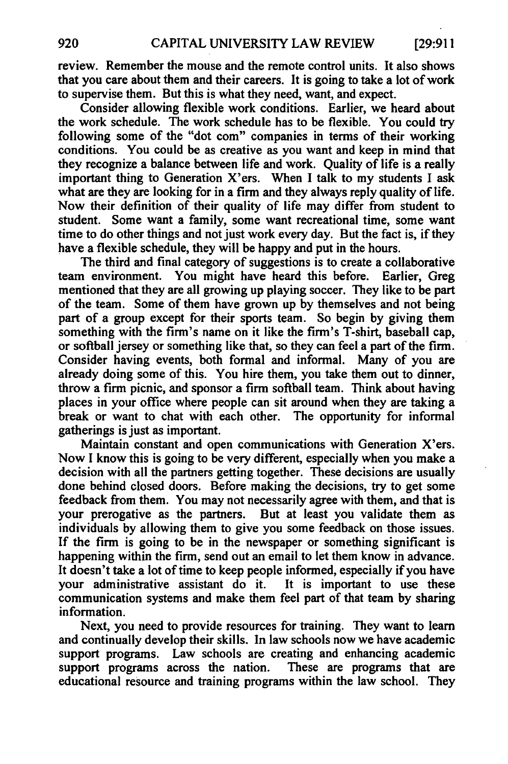review. Remember the mouse and the remote control units. It also shows that you care about them and their careers. It is going to take a lot of work to supervise them. But this is what they need, want, and expect.

Consider allowing flexible work conditions. Earlier, we heard about the work schedule. The work schedule has to be flexible. You could try following some of the "dot com" companies in terms of their working conditions. You could be as creative as you want and keep in mind that they recognize a balance between life and work. Quality of life is a really important thing to Generation X'ers. When I talk to my students I ask what are they are looking for in a firm and they always reply quality of life. Now their definition of their quality of life may differ from student to student. Some want a family, some want recreational time, some want time to do other things and not just work every day. But the fact is, if they have a flexible schedule, they will be happy and put in the hours.

The third and final category of suggestions is to create a collaborative team environment. You might have heard this before. Earlier, Greg mentioned that they are all growing up playing soccer. They like to be part of the team. Some of them have grown up by themselves and not being part of a group except for their sports team. So begin by giving them something with the firm's name on it like the firm's T-shirt, baseball cap, or softball jersey or something like that, so they can feel a part of the firm. Consider having events, both formal and informal. Many of you are already doing some of this. You hire them, you take them out to dinner, throw a firm picnic, and sponsor a firm softball team. Think about having places in your office where people can sit around when they are taking a break or want to chat with each other. The opportunity for informal gatherings is just as important.

Maintain constant and open communications with Generation X'ers. Now I know this is going to be very different, especially when you make a decision with all the partners getting together. These decisions are usually done behind closed doors. Before making the decisions, try to get some feedback from them. You may not necessarily agree with them, and that is your prerogative as the partners. But at least you validate them as individuals by allowing them to give you some feedback on those issues. If the firm is going to be in the newspaper or something significant is happening within the firm, send out an email to let them know in advance. It doesn't take a lot of time to keep people informed, especially if you have your administrative assistant do it. It is important to use these communication systems and make them feel part of that team by sharing information.

Next, you need to provide resources for training. They want to learn and continually develop their skills. In law schools now we have academic support programs. Law schools are creating and enhancing academic<br>support programs across the nation. These are programs that are support programs across the nation. educational resource and training programs within the law school. They